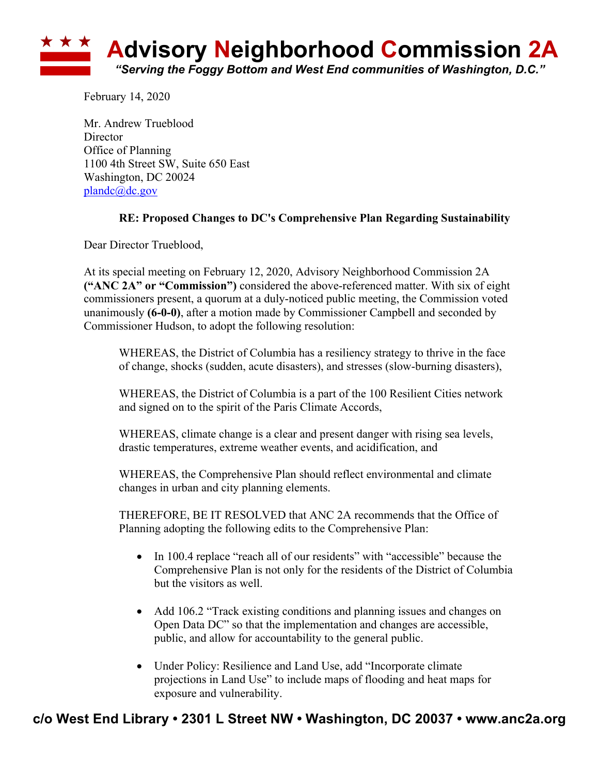

February 14, 2020

Mr. Andrew Trueblood **Director** Office of Planning 1100 4th Street SW, Suite 650 East Washington, DC 20024 plandc@dc.gov

## **RE: Proposed Changes to DC's Comprehensive Plan Regarding Sustainability**

Dear Director Trueblood,

At its special meeting on February 12, 2020, Advisory Neighborhood Commission 2A **("ANC 2A" or "Commission")** considered the above-referenced matter. With six of eight commissioners present, a quorum at a duly-noticed public meeting, the Commission voted unanimously **(6-0-0)**, after a motion made by Commissioner Campbell and seconded by Commissioner Hudson, to adopt the following resolution:

WHEREAS, the District of Columbia has a resiliency strategy to thrive in the face of change, shocks (sudden, acute disasters), and stresses (slow-burning disasters),

WHEREAS, the District of Columbia is a part of the 100 Resilient Cities network and signed on to the spirit of the Paris Climate Accords,

WHEREAS, climate change is a clear and present danger with rising sea levels, drastic temperatures, extreme weather events, and acidification, and

WHEREAS, the Comprehensive Plan should reflect environmental and climate changes in urban and city planning elements.

THEREFORE, BE IT RESOLVED that ANC 2A recommends that the Office of Planning adopting the following edits to the Comprehensive Plan:

- In 100.4 replace "reach all of our residents" with "accessible" because the Comprehensive Plan is not only for the residents of the District of Columbia but the visitors as well.
- Add 106.2 "Track existing conditions and planning issues and changes on Open Data DC" so that the implementation and changes are accessible, public, and allow for accountability to the general public.
- Under Policy: Resilience and Land Use, add "Incorporate climate projections in Land Use" to include maps of flooding and heat maps for exposure and vulnerability.

## **c/o West End Library • 2301 L Street NW • Washington, DC 20037 • www.anc2a.org**